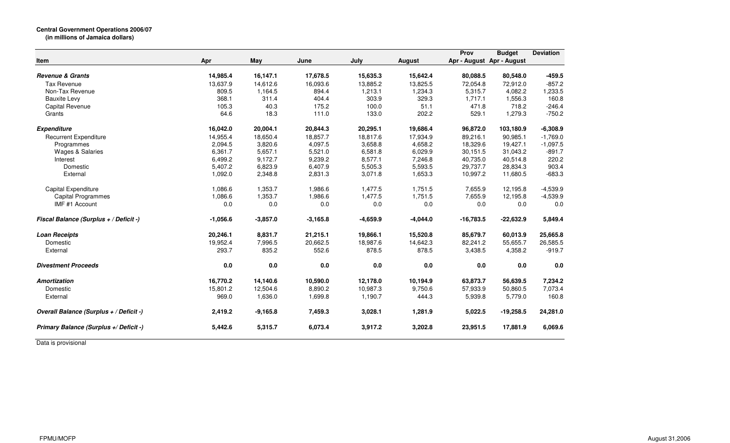| Item                                    | Apr        | May        | June       | July       | <b>August</b> | Prov        | <b>Budget</b><br>Apr - August Apr - August | <b>Deviation</b> |
|-----------------------------------------|------------|------------|------------|------------|---------------|-------------|--------------------------------------------|------------------|
| <b>Revenue &amp; Grants</b>             | 14,985.4   | 16,147.1   | 17,678.5   | 15,635.3   | 15,642.4      | 80,088.5    | 80,548.0                                   | $-459.5$         |
| <b>Tax Revenue</b>                      | 13,637.9   | 14,612.6   | 16,093.6   | 13,885.2   | 13,825.5      | 72,054.8    | 72,912.0                                   | $-857.2$         |
| Non-Tax Revenue                         | 809.5      | 1,164.5    | 894.4      | 1,213.1    | 1,234.3       | 5.315.7     | 4.082.2                                    | 1,233.5          |
| <b>Bauxite Levy</b>                     | 368.1      | 311.4      | 404.4      | 303.9      | 329.3         | 1,717.1     | 1,556.3                                    | 160.8            |
| Capital Revenue                         | 105.3      | 40.3       | 175.2      | 100.0      | 51.1          | 471.8       | 718.2                                      | $-246.4$         |
| Grants                                  | 64.6       | 18.3       | 111.0      | 133.0      | 202.2         | 529.1       | 1,279.3                                    | $-750.2$         |
| <b>Expenditure</b>                      | 16,042.0   | 20,004.1   | 20,844.3   | 20,295.1   | 19,686.4      | 96,872.0    | 103,180.9                                  | $-6,308.9$       |
| <b>Recurrent Expenditure</b>            | 14,955.4   | 18,650.4   | 18,857.7   | 18,817.6   | 17,934.9      | 89,216.1    | 90,985.1                                   | $-1,769.0$       |
| Programmes                              | 2,094.5    | 3,820.6    | 4,097.5    | 3,658.8    | 4,658.2       | 18,329.6    | 19,427.1                                   | $-1,097.5$       |
| Wages & Salaries                        | 6,361.7    | 5,657.1    | 5,521.0    | 6,581.8    | 6,029.9       | 30,151.5    | 31,043.2                                   | $-891.7$         |
| Interest                                | 6,499.2    | 9,172.7    | 9,239.2    | 8,577.1    | 7,246.8       | 40,735.0    | 40,514.8                                   | 220.2            |
| Domestic                                | 5,407.2    | 6,823.9    | 6,407.9    | 5,505.3    | 5,593.5       | 29,737.7    | 28,834.3                                   | 903.4            |
| External                                | 1,092.0    | 2,348.8    | 2,831.3    | 3,071.8    | 1,653.3       | 10,997.2    | 11,680.5                                   | $-683.3$         |
| Capital Expenditure                     | 1,086.6    | 1,353.7    | 1,986.6    | 1,477.5    | 1,751.5       | 7,655.9     | 12,195.8                                   | $-4,539.9$       |
| Capital Programmes                      | 1,086.6    | 1,353.7    | 1,986.6    | 1,477.5    | 1,751.5       | 7,655.9     | 12,195.8                                   | $-4,539.9$       |
| IMF #1 Account                          | 0.0        | 0.0        | 0.0        | 0.0        | 0.0           | 0.0         | 0.0                                        | 0.0              |
| Fiscal Balance (Surplus + / Deficit -)  | $-1,056.6$ | $-3,857.0$ | $-3,165.8$ | $-4,659.9$ | $-4,044.0$    | $-16,783.5$ | $-22,632.9$                                | 5,849.4          |
| <b>Loan Receipts</b>                    | 20,246.1   | 8,831.7    | 21,215.1   | 19,866.1   | 15,520.8      | 85,679.7    | 60,013.9                                   | 25,665.8         |
| Domestic                                | 19,952.4   | 7,996.5    | 20,662.5   | 18,987.6   | 14,642.3      | 82,241.2    | 55,655.7                                   | 26,585.5         |
| External                                | 293.7      | 835.2      | 552.6      | 878.5      | 878.5         | 3,438.5     | 4,358.2                                    | $-919.7$         |
| <b>Divestment Proceeds</b>              | 0.0        | 0.0        | 0.0        | 0.0        | 0.0           | 0.0         | 0.0                                        | 0.0              |
| <b>Amortization</b>                     | 16,770.2   | 14,140.6   | 10,590.0   | 12,178.0   | 10,194.9      | 63,873.7    | 56,639.5                                   | 7,234.2          |
| Domestic                                | 15,801.2   | 12,504.6   | 8,890.2    | 10,987.3   | 9,750.6       | 57,933.9    | 50,860.5                                   | 7,073.4          |
| External                                | 969.0      | 1,636.0    | 1,699.8    | 1,190.7    | 444.3         | 5,939.8     | 5,779.0                                    | 160.8            |
| Overall Balance (Surplus + / Deficit -) | 2,419.2    | $-9,165.8$ | 7,459.3    | 3,028.1    | 1,281.9       | 5,022.5     | $-19,258.5$                                | 24,281.0         |
| Primary Balance (Surplus +/ Deficit -)  | 5,442.6    | 5,315.7    | 6,073.4    | 3,917.2    | 3,202.8       | 23,951.5    | 17,881.9                                   | 6,069.6          |

Data is provisional